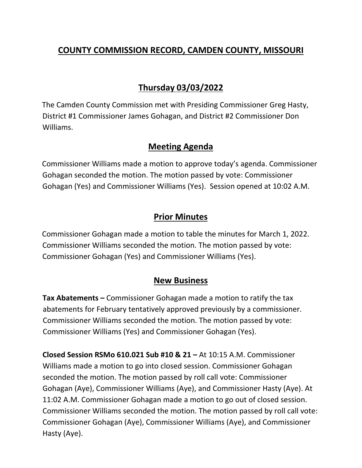## **COUNTY COMMISSION RECORD, CAMDEN COUNTY, MISSOURI**

# **Thursday 03/03/2022**

The Camden County Commission met with Presiding Commissioner Greg Hasty, District #1 Commissioner James Gohagan, and District #2 Commissioner Don Williams.

### **Meeting Agenda**

Commissioner Williams made a motion to approve today's agenda. Commissioner Gohagan seconded the motion. The motion passed by vote: Commissioner Gohagan (Yes) and Commissioner Williams (Yes). Session opened at 10:02 A.M.

### **Prior Minutes**

Commissioner Gohagan made a motion to table the minutes for March 1, 2022. Commissioner Williams seconded the motion. The motion passed by vote: Commissioner Gohagan (Yes) and Commissioner Williams (Yes).

#### **New Business**

**Tax Abatements –** Commissioner Gohagan made a motion to ratify the tax abatements for February tentatively approved previously by a commissioner. Commissioner Williams seconded the motion. The motion passed by vote: Commissioner Williams (Yes) and Commissioner Gohagan (Yes).

**Closed Session RSMo 610.021 Sub #10 & 21 –** At 10:15 A.M. Commissioner Williams made a motion to go into closed session. Commissioner Gohagan seconded the motion. The motion passed by roll call vote: Commissioner Gohagan (Aye), Commissioner Williams (Aye), and Commissioner Hasty (Aye). At 11:02 A.M. Commissioner Gohagan made a motion to go out of closed session. Commissioner Williams seconded the motion. The motion passed by roll call vote: Commissioner Gohagan (Aye), Commissioner Williams (Aye), and Commissioner Hasty (Aye).